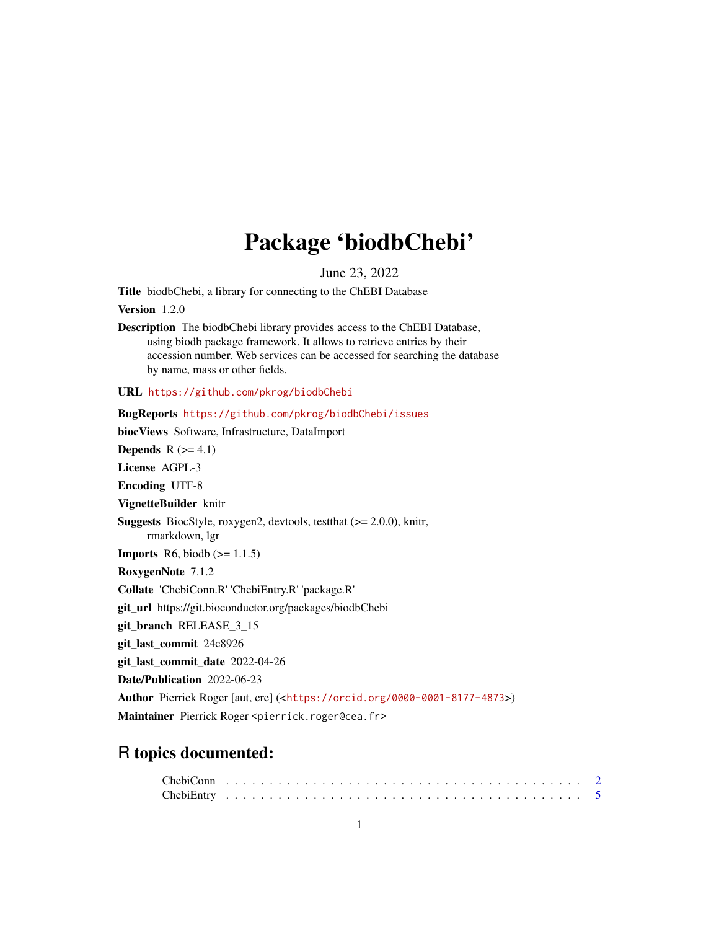## Package 'biodbChebi'

June 23, 2022

<span id="page-0-0"></span>Title biodbChebi, a library for connecting to the ChEBI Database

Version 1.2.0

Description The biodbChebi library provides access to the ChEBI Database, using biodb package framework. It allows to retrieve entries by their accession number. Web services can be accessed for searching the database by name, mass or other fields.

URL <https://github.com/pkrog/biodbChebi>

BugReports <https://github.com/pkrog/biodbChebi/issues> biocViews Software, Infrastructure, DataImport Depends  $R$  ( $>= 4.1$ ) License AGPL-3 Encoding UTF-8 VignetteBuilder knitr Suggests BiocStyle, roxygen2, devtools, testthat (>= 2.0.0), knitr, rmarkdown, lgr **Imports** R6, biodb  $(>= 1.1.5)$ RoxygenNote 7.1.2 Collate 'ChebiConn.R' 'ChebiEntry.R' 'package.R' git\_url https://git.bioconductor.org/packages/biodbChebi git\_branch RELEASE\_3\_15 git\_last\_commit 24c8926 git\_last\_commit\_date 2022-04-26 Date/Publication 2022-06-23 Author Pierrick Roger [aut, cre] (<<https://orcid.org/0000-0001-8177-4873>>) Maintainer Pierrick Roger <pierrick.roger@cea.fr>

### R topics documented: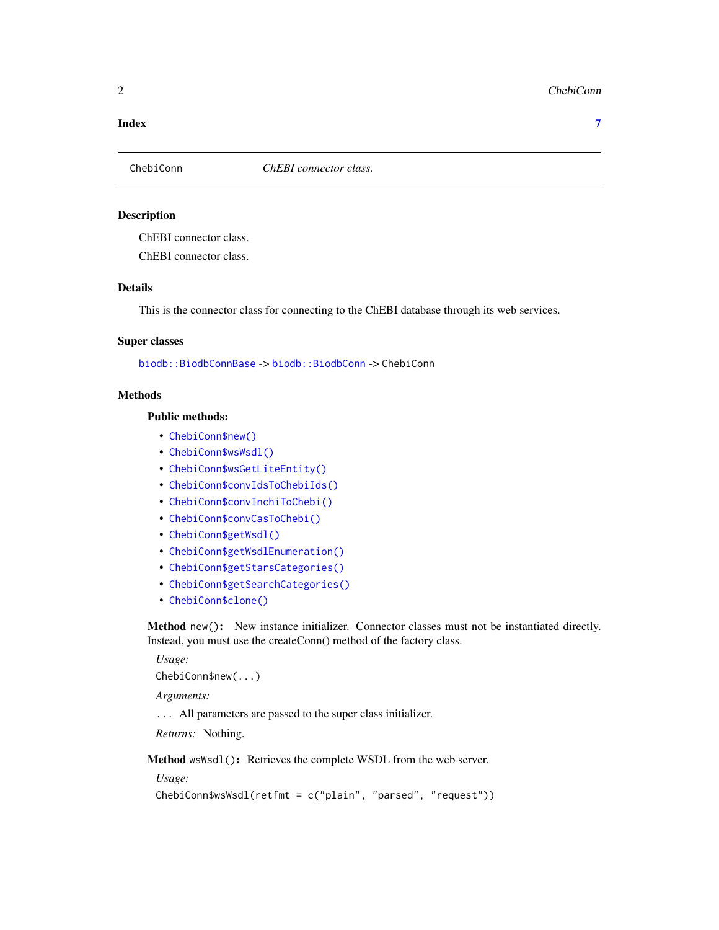#### <span id="page-1-0"></span>**Index** [7](#page-6-0) **7**

#### Description

ChEBI connector class.

ChEBI connector class.

#### Details

This is the connector class for connecting to the ChEBI database through its web services.

#### Super classes

[biodb::BiodbConnBase](#page-0-0) -> [biodb::BiodbConn](#page-0-0) -> ChebiConn

#### Methods

#### Public methods:

- [ChebiConn\\$new\(\)](#page-1-1)
- [ChebiConn\\$wsWsdl\(\)](#page-1-2)
- [ChebiConn\\$wsGetLiteEntity\(\)](#page-2-0)
- [ChebiConn\\$convIdsToChebiIds\(\)](#page-2-1)
- [ChebiConn\\$convInchiToChebi\(\)](#page-2-2)
- [ChebiConn\\$convCasToChebi\(\)](#page-3-0)
- [ChebiConn\\$getWsdl\(\)](#page-3-1)
- [ChebiConn\\$getWsdlEnumeration\(\)](#page-3-2)
- [ChebiConn\\$getStarsCategories\(\)](#page-3-3)
- [ChebiConn\\$getSearchCategories\(\)](#page-3-4)
- [ChebiConn\\$clone\(\)](#page-4-1)

<span id="page-1-1"></span>Method new(): New instance initializer. Connector classes must not be instantiated directly. Instead, you must use the createConn() method of the factory class.

*Usage:*

ChebiConn\$new(...)

*Arguments:*

... All parameters are passed to the super class initializer.

*Returns:* Nothing.

<span id="page-1-2"></span>Method wsWsdl(): Retrieves the complete WSDL from the web server.

*Usage:*

```
ChebiConn$wsWsdl(retfmt = c("plain", "parsed", "request"))
```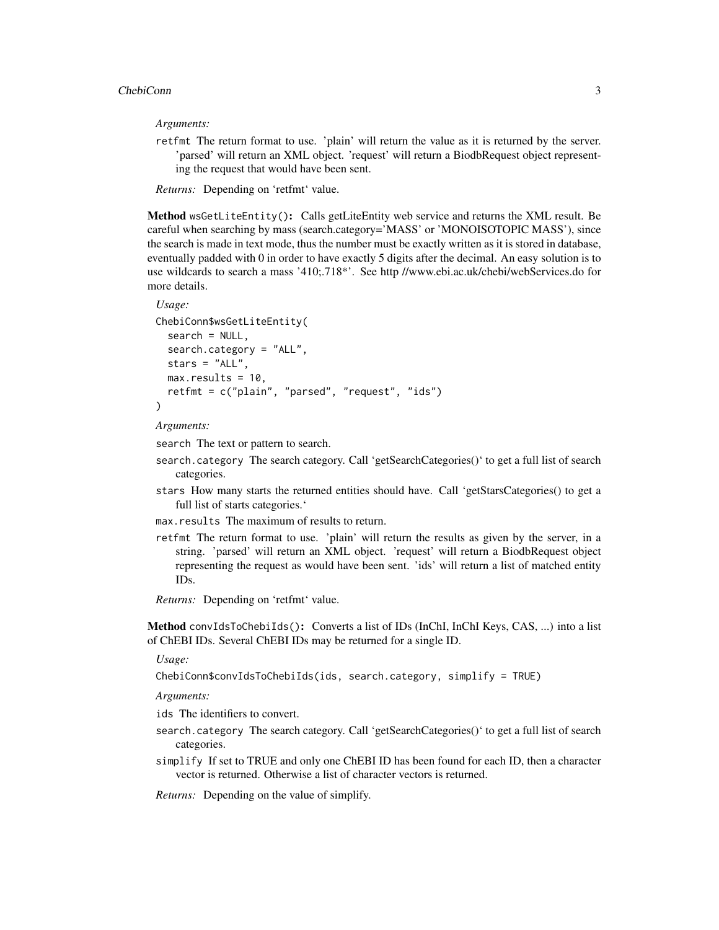*Arguments:*

retfmt The return format to use. 'plain' will return the value as it is returned by the server. 'parsed' will return an XML object. 'request' will return a BiodbRequest object representing the request that would have been sent.

*Returns:* Depending on 'retfmt' value.

<span id="page-2-0"></span>Method wsGetLiteEntity(): Calls getLiteEntity web service and returns the XML result. Be careful when searching by mass (search.category='MASS' or 'MONOISOTOPIC MASS'), since the search is made in text mode, thus the number must be exactly written as it is stored in database, eventually padded with 0 in order to have exactly 5 digits after the decimal. An easy solution is to use wildcards to search a mass '410;.718\*'. See http //www.ebi.ac.uk/chebi/webServices.do for more details.

```
Usage:
ChebiConn$wsGetLiteEntity(
  search = NULL,search.category = "ALL",
 stars = "ALL",
 max. results = 10,
  retfmt = c("plain", "parsed", "request", "ids")
)
```
*Arguments:*

search The text or pattern to search.

- search.category The search category. Call 'getSearchCategories()' to get a full list of search categories.
- stars How many starts the returned entities should have. Call 'getStarsCategories() to get a full list of starts categories.'
- max.results The maximum of results to return.
- retfmt The return format to use. 'plain' will return the results as given by the server, in a string. 'parsed' will return an XML object. 'request' will return a BiodbRequest object representing the request as would have been sent. 'ids' will return a list of matched entity IDs.

*Returns:* Depending on 'retfmt' value.

<span id="page-2-1"></span>Method convIdsToChebiIds(): Converts a list of IDs (InChI, InChI Keys, CAS, ...) into a list of ChEBI IDs. Several ChEBI IDs may be returned for a single ID.

*Usage:*

ChebiConn\$convIdsToChebiIds(ids, search.category, simplify = TRUE)

*Arguments:*

- ids The identifiers to convert.
- search.category The search category. Call 'getSearchCategories()' to get a full list of search categories.
- simplify If set to TRUE and only one ChEBI ID has been found for each ID, then a character vector is returned. Otherwise a list of character vectors is returned.

<span id="page-2-2"></span>*Returns:* Depending on the value of simplify.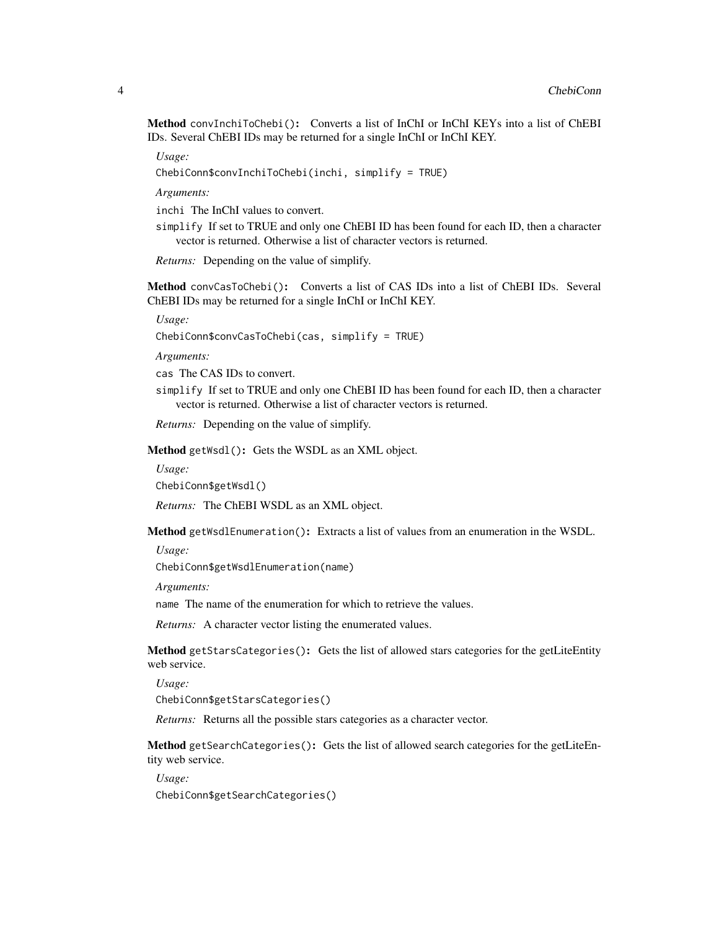Method convInchiToChebi(): Converts a list of InChI or InChI KEYs into a list of ChEBI IDs. Several ChEBI IDs may be returned for a single InChI or InChI KEY.

*Usage:*

ChebiConn\$convInchiToChebi(inchi, simplify = TRUE)

*Arguments:*

inchi The InChI values to convert.

simplify If set to TRUE and only one ChEBI ID has been found for each ID, then a character vector is returned. Otherwise a list of character vectors is returned.

*Returns:* Depending on the value of simplify.

<span id="page-3-0"></span>Method convCasToChebi(): Converts a list of CAS IDs into a list of ChEBI IDs. Several ChEBI IDs may be returned for a single InChI or InChI KEY.

*Usage:*

ChebiConn\$convCasToChebi(cas, simplify = TRUE)

*Arguments:*

cas The CAS IDs to convert.

simplify If set to TRUE and only one ChEBI ID has been found for each ID, then a character vector is returned. Otherwise a list of character vectors is returned.

*Returns:* Depending on the value of simplify.

<span id="page-3-1"></span>Method getWsdl(): Gets the WSDL as an XML object.

*Usage:*

ChebiConn\$getWsdl()

*Returns:* The ChEBI WSDL as an XML object.

<span id="page-3-2"></span>Method getWsdlEnumeration(): Extracts a list of values from an enumeration in the WSDL.

*Usage:*

ChebiConn\$getWsdlEnumeration(name)

*Arguments:*

name The name of the enumeration for which to retrieve the values.

*Returns:* A character vector listing the enumerated values.

<span id="page-3-3"></span>Method getStarsCategories(): Gets the list of allowed stars categories for the getLiteEntity web service.

*Usage:*

ChebiConn\$getStarsCategories()

*Returns:* Returns all the possible stars categories as a character vector.

<span id="page-3-4"></span>Method getSearchCategories(): Gets the list of allowed search categories for the getLiteEntity web service.

*Usage:*

ChebiConn\$getSearchCategories()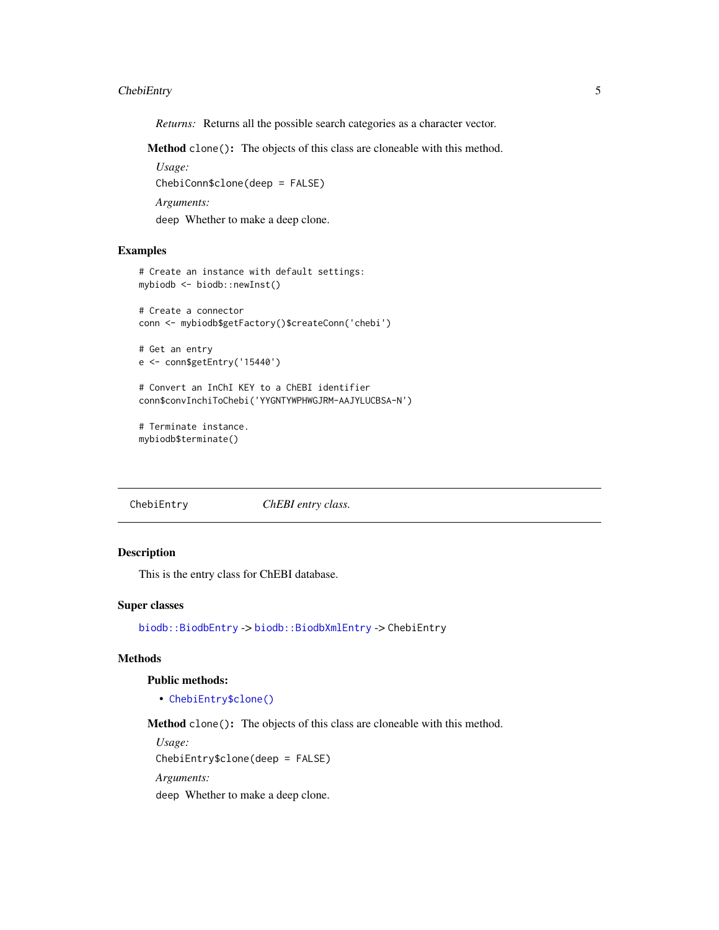#### <span id="page-4-0"></span>ChebiEntry 5

*Returns:* Returns all the possible search categories as a character vector.

<span id="page-4-1"></span>Method clone(): The objects of this class are cloneable with this method.

*Usage:* ChebiConn\$clone(deep = FALSE) *Arguments:* deep Whether to make a deep clone.

#### Examples

```
# Create an instance with default settings:
mybiodb <- biodb::newInst()
```

```
# Create a connector
conn <- mybiodb$getFactory()$createConn('chebi')
```

```
# Get an entry
e <- conn$getEntry('15440')
```
# Convert an InChI KEY to a ChEBI identifier conn\$convInchiToChebi('YYGNTYWPHWGJRM-AAJYLUCBSA-N')

```
# Terminate instance.
mybiodb$terminate()
```
ChebiEntry *ChEBI entry class.*

#### Description

This is the entry class for ChEBI database.

#### Super classes

[biodb::BiodbEntry](#page-0-0) -> [biodb::BiodbXmlEntry](#page-0-0) -> ChebiEntry

#### Methods

#### Public methods:

• [ChebiEntry\\$clone\(\)](#page-4-1)

Method clone(): The objects of this class are cloneable with this method.

*Usage:* ChebiEntry\$clone(deep = FALSE) *Arguments:* deep Whether to make a deep clone.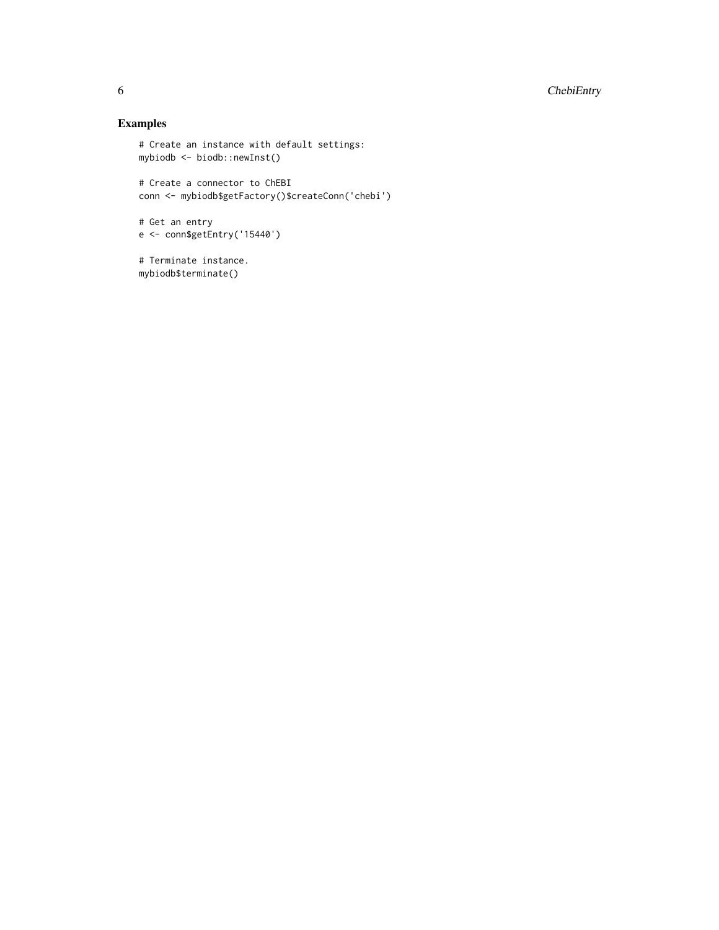#### Examples

```
# Create an instance with default settings:
mybiodb <- biodb::newInst()
# Create a connector to ChEBI
conn <- mybiodb$getFactory()$createConn('chebi')
# Get an entry
e <- conn$getEntry('15440')
# Terminate instance.
mybiodb$terminate()
```